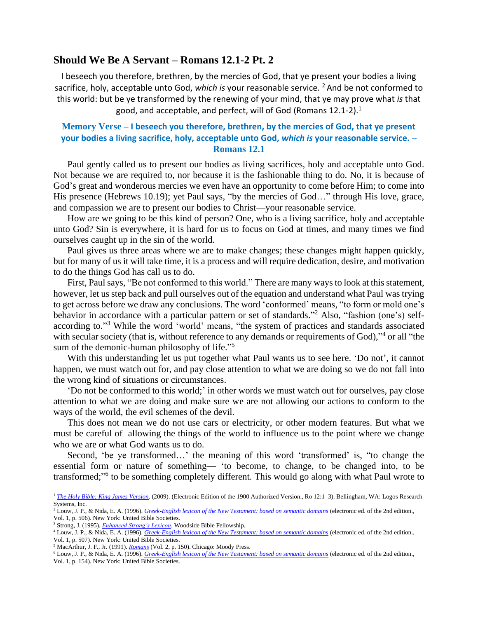## **Should We Be A Servant – Romans 12.1-2 Pt. 2**

I beseech you therefore, brethren, by the mercies of God, that ye present your bodies a living sacrifice, holy, acceptable unto God, *which is* your reasonable service. <sup>2</sup> And be not conformed to this world: but be ye transformed by the renewing of your mind, that ye may prove what *is* that good, and acceptable, and perfect, will of God (Romans 12.1-2).<sup>1</sup>

## **Memory Verse – I beseech you therefore, brethren, by the mercies of God, that ye present your bodies a living sacrifice, holy, acceptable unto God,** *which is* **your reasonable service. – Romans 12.1**

Paul gently called us to present our bodies as living sacrifices, holy and acceptable unto God. Not because we are required to, nor because it is the fashionable thing to do. No, it is because of God's great and wonderous mercies we even have an opportunity to come before Him; to come into His presence (Hebrews 10.19); yet Paul says, "by the mercies of God..." through His love, grace, and compassion we are to present our bodies to Christ—your reasonable service.

How are we going to be this kind of person? One, who is a living sacrifice, holy and acceptable unto God? Sin is everywhere, it is hard for us to focus on God at times, and many times we find ourselves caught up in the sin of the world.

Paul gives us three areas where we are to make changes; these changes might happen quickly, but for many of us it will take time, it is a process and will require dedication, desire, and motivation to do the things God has call us to do.

First, Paul says, "Be not conformed to this world." There are many ways to look at this statement, however, let us step back and pull ourselves out of the equation and understand what Paul was trying to get across before we draw any conclusions. The word 'conformed' means, "to form or mold one's behavior in accordance with a particular pattern or set of standards."<sup>2</sup> Also, "fashion (one's) selfaccording to."<sup>3</sup> While the word 'world' means, "the system of practices and standards associated with secular society (that is, without reference to any demands or requirements of God),"<sup>4</sup> or all "the sum of the demonic-human philosophy of life."<sup>5</sup>

With this understanding let us put together what Paul wants us to see here. 'Do not', it cannot happen, we must watch out for, and pay close attention to what we are doing so we do not fall into the wrong kind of situations or circumstances.

'Do not be conformed to this world;' in other words we must watch out for ourselves, pay close attention to what we are doing and make sure we are not allowing our actions to conform to the ways of the world, the evil schemes of the devil.

This does not mean we do not use cars or electricity, or other modern features. But what we must be careful of allowing the things of the world to influence us to the point where we change who we are or what God wants us to do.

Second, 'be ye transformed…' the meaning of this word 'transformed' is, "to change the essential form or nature of something— 'to become, to change, to be changed into, to be transformed;"<sup>6</sup> to be something completely different. This would go along with what Paul wrote to

<sup>1</sup> *[The Holy Bible: King James Version](https://ref.ly/logosres/kjv1900?ref=BibleKJV.Ro12.1&off=0&ctx=12+~I+a%EF%BB%BFbeseech+you+therefore%2c+brethren%2c+)*. (2009). (Electronic Edition of the 1900 Authorized Version., Ro 12:1–3). Bellingham, WA: Logos Research Systems, Inc.

<sup>&</sup>lt;sup>2</sup> Louw, J. P., & Nida, E. A. (1996). *[Greek-English lexicon of the New Testament: based on semantic domains](https://ref.ly/logosres/louwnida?ref=LouwNida.41.29&off=23&ctx=29+%CF%83%CF%85%CF%83%CF%87%CE%B7%CE%BC%CE%B1%CF%84%CE%B9%CC%81%CE%B6%CE%BF%CE%BC%CE%B1%CE%B9%3a+~to+form+or+mold+one%E2%80%99)* (electronic ed. of the 2nd edition., Vol. 1, p. 506). New York: United Bible Societies.

<sup>3</sup> Strong, J. (1995). *[Enhanced Strong's Lexicon](https://ref.ly/logosres/strongs?ref=GreekGK.GGK5372&off=161&ctx=form+to%E2%80%9D+once%2c+and+%E2%80%9C~fashion+(one%E2%80%99s)+self)*. Woodside Bible Fellowship.

<sup>4</sup> Louw, J. P., & Nida, E. A. (1996). *[Greek-English lexicon of the New Testament: based on semantic domains](https://ref.ly/logosres/louwnida?ref=LouwNida.41.38&off=40&ctx=%3b+%CE%B1%CE%B9%CC%93%CF%89%CC%81%CE%BDc%2c+%CF%89%CD%82%CE%BD%CE%BF%CF%82+m%3a+~the+system+of+practi)* (electronic ed. of the 2nd edition., Vol. 1, p. 507). New York: United Bible Societies.

<sup>5</sup> MacArthur, J. F., Jr. (1991). *[Romans](https://ref.ly/logosres/rommntc?ref=Bible.Ro12.2a&off=2035&ctx=rld+here+represents+~the+sum+of+the+demon)* (Vol. 2, p. 150). Chicago: Moody Press.

<sup>6</sup> Louw, J. P., & Nida, E. A. (1996). *[Greek-English lexicon of the New Testament: based on semantic domains](https://ref.ly/logosres/louwnida?ref=LouwNida.13.53&off=23&ctx=53+%CE%BC%CE%B5%CF%84%CE%B1%CE%BC%CE%BF%CF%81%CF%86%CE%BF%CC%81%CE%BF%CE%BC%CE%B1%CE%B9a%3a+~to+change+the+essent)* (electronic ed. of the 2nd edition., Vol. 1, p. 154). New York: United Bible Societies.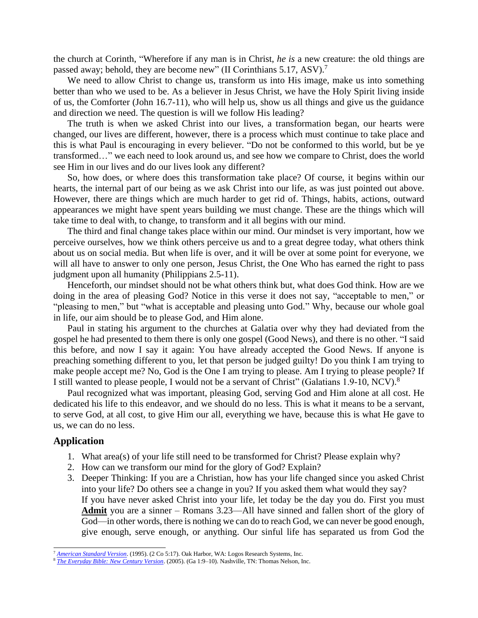the church at Corinth, "Wherefore if any man is in Christ, *he is* a new creature: the old things are passed away; behold, they are become new" (II Corinthians 5.17, ASV).<sup>7</sup>

We need to allow Christ to change us, transform us into His image, make us into something better than who we used to be. As a believer in Jesus Christ, we have the Holy Spirit living inside of us, the Comforter (John 16.7-11), who will help us, show us all things and give us the guidance and direction we need. The question is will we follow His leading?

The truth is when we asked Christ into our lives, a transformation began, our hearts were changed, our lives are different, however, there is a process which must continue to take place and this is what Paul is encouraging in every believer. "Do not be conformed to this world, but be ye transformed…" we each need to look around us, and see how we compare to Christ, does the world see Him in our lives and do our lives look any different?

So, how does, or where does this transformation take place? Of course, it begins within our hearts, the internal part of our being as we ask Christ into our life, as was just pointed out above. However, there are things which are much harder to get rid of. Things, habits, actions, outward appearances we might have spent years building we must change. These are the things which will take time to deal with, to change, to transform and it all begins with our mind.

The third and final change takes place within our mind. Our mindset is very important, how we perceive ourselves, how we think others perceive us and to a great degree today, what others think about us on social media. But when life is over, and it will be over at some point for everyone, we will all have to answer to only one person, Jesus Christ, the One Who has earned the right to pass judgment upon all humanity (Philippians 2.5-11).

Henceforth, our mindset should not be what others think but, what does God think. How are we doing in the area of pleasing God? Notice in this verse it does not say, "acceptable to men," or "pleasing to men," but "what is acceptable and pleasing unto God." Why, because our whole goal in life, our aim should be to please God, and Him alone.

Paul in stating his argument to the churches at Galatia over why they had deviated from the gospel he had presented to them there is only one gospel (Good News), and there is no other. "I said this before, and now I say it again: You have already accepted the Good News. If anyone is preaching something different to you, let that person be judged guilty! Do you think I am trying to make people accept me? No, God is the One I am trying to please. Am I trying to please people? If I still wanted to please people, I would not be a servant of Christ" (Galatians 1.9-10, NCV).<sup>8</sup>

Paul recognized what was important, pleasing God, serving God and Him alone at all cost. He dedicated his life to this endeavor, and we should do no less. This is what it means to be a servant, to serve God, at all cost, to give Him our all, everything we have, because this is what He gave to us, we can do no less.

## **Application**

- 1. What area(s) of your life still need to be transformed for Christ? Please explain why?
- 2. How can we transform our mind for the glory of God? Explain?
- 3. Deeper Thinking: If you are a Christian, how has your life changed since you asked Christ into your life? Do others see a change in you? If you asked them what would they say? If you have never asked Christ into your life, let today be the day you do. First you must **Admit** you are a sinner – Romans 3.23—All have sinned and fallen short of the glory of God—in other words, there is nothing we can do to reach God, we can never be good enough, give enough, serve enough, or anything. Our sinful life has separated us from God the

<sup>7</sup> *[American Standard Version](https://ref.ly/logosres/asv?ref=BibleKJV.2Co5.17&off=3&ctx=+him+so+no+more.+17%EF%BB%BF~Wherefore+if+any+man)*. (1995). (2 Co 5:17). Oak Harbor, WA: Logos Research Systems, Inc.

<sup>8</sup> *[The Everyday Bible: New Century Version](https://ref.ly/logosres/ncv?ref=Bible.Ga1.9&off=2&ctx=be+judged+guilty!+9%C2%A0~I+said+this+before%2c+)*. (2005). (Ga 1:9–10). Nashville, TN: Thomas Nelson, Inc.